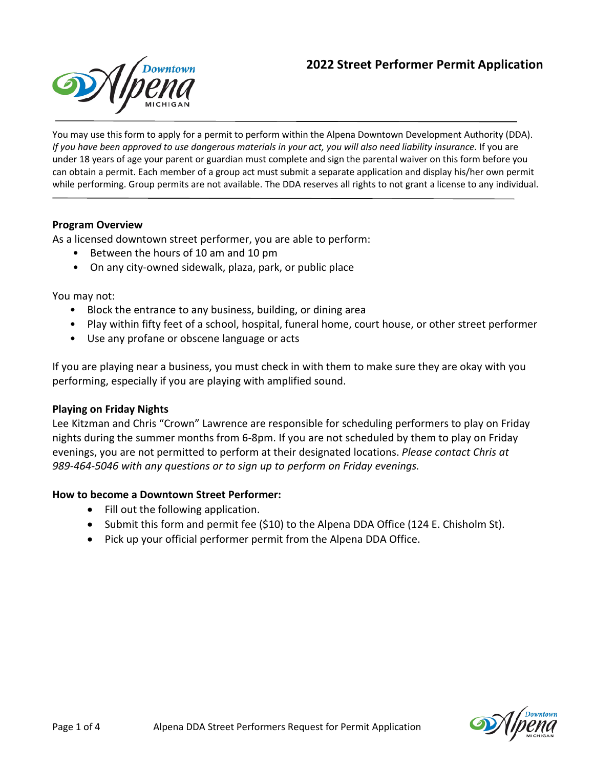# **2022 Street Performer Permit Application**



You may use this form to apply for a permit to perform within the Alpena Downtown Development Authority (DDA). *If you have been approved to use dangerous materials in your act, you will also need liability insurance.* If you are under 18 years of age your parent or guardian must complete and sign the parental waiver on this form before you can obtain a permit. Each member of a group act must submit a separate application and display his/her own permit while performing. Group permits are not available. The DDA reserves all rights to not grant a license to any individual.

#### **Program Overview**

As a licensed downtown street performer, you are able to perform:

- Between the hours of 10 am and 10 pm
- On any city-owned sidewalk, plaza, park, or public place

You may not:

- Block the entrance to any business, building, or dining area
- Play within fifty feet of a school, hospital, funeral home, court house, or other street performer
- Use any profane or obscene language or acts

If you are playing near a business, you must check in with them to make sure they are okay with you performing, especially if you are playing with amplified sound.

#### **Playing on Friday Nights**

Lee Kitzman and Chris "Crown" Lawrence are responsible for scheduling performers to play on Friday nights during the summer months from 6-8pm. If you are not scheduled by them to play on Friday evenings, you are not permitted to perform at their designated locations. *Please contact Chris at 989-464-5046 with any questions or to sign up to perform on Friday evenings.*

#### **How to become a Downtown Street Performer:**

- Fill out the following application.
- Submit this form and permit fee (\$10) to the Alpena DDA Office (124 E. Chisholm St).
- Pick up your official performer permit from the Alpena DDA Office.

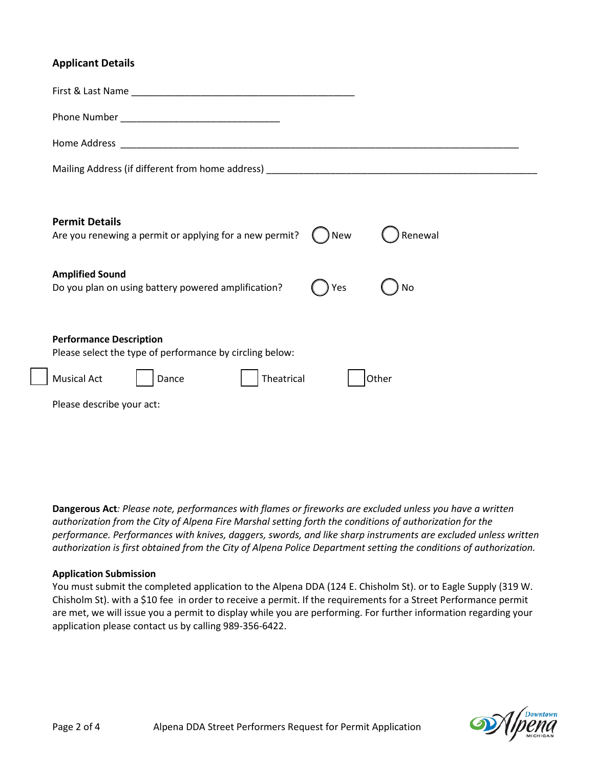## **Applicant Details**

| <b>Permit Details</b><br>Renewal<br>Are you renewing a permit or applying for a new permit?<br><b>New</b> |  |  |  |  |  |
|-----------------------------------------------------------------------------------------------------------|--|--|--|--|--|
| <b>Amplified Sound</b><br>Do you plan on using battery powered amplification?<br>No<br>Yes                |  |  |  |  |  |
| <b>Performance Description</b><br>Please select the type of performance by circling below:                |  |  |  |  |  |
| Theatrical<br><b>Musical Act</b><br>Other<br>Dance                                                        |  |  |  |  |  |
| Please describe your act:                                                                                 |  |  |  |  |  |
|                                                                                                           |  |  |  |  |  |

**Dangerous Act***: Please note, performances with flames or fireworks are excluded unless you have a written authorization from the City of Alpena Fire Marshal setting forth the conditions of authorization for the performance. Performances with knives, daggers, swords, and like sharp instruments are excluded unless written authorization is first obtained from the City of Alpena Police Department setting the conditions of authorization.*

#### **Application Submission**

You must submit the completed application to the Alpena DDA (124 E. Chisholm St). or to Eagle Supply (319 W. Chisholm St). with a \$10 fee in order to receive a permit. If the requirements for a Street Performance permit are met, we will issue you a permit to display while you are performing. For further information regarding your application please contact us by calling 989-356-6422.

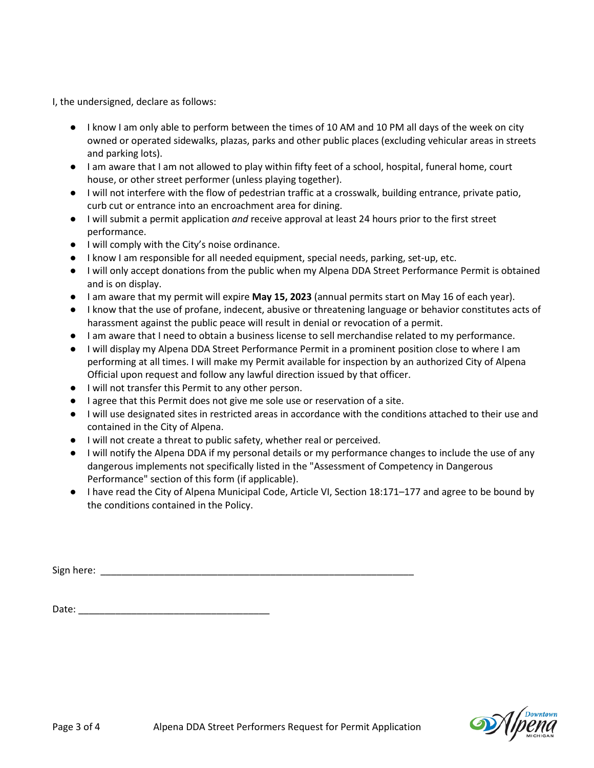I, the undersigned, declare as follows:

- I know I am only able to perform between the times of 10 AM and 10 PM all days of the week on city owned or operated sidewalks, plazas, parks and other public places (excluding vehicular areas in streets and parking lots).
- I am aware that I am not allowed to play within fifty feet of a school, hospital, funeral home, court house, or other street performer (unless playing together).
- I will not interfere with the flow of pedestrian traffic at a crosswalk, building entrance, private patio, curb cut or entrance into an encroachment area for dining.
- I will submit a permit application *and* receive approval at least 24 hours prior to the first street performance.
- I will comply with the City's noise ordinance.
- I know I am responsible for all needed equipment, special needs, parking, set-up, etc.
- I will only accept donations from the public when my Alpena DDA Street Performance Permit is obtained and is on display.
- I am aware that my permit will expire **May 15, 2023** (annual permits start on May 16 of each year).
- I know that the use of profane, indecent, abusive or threatening language or behavior constitutes acts of harassment against the public peace will result in denial or revocation of a permit.
- I am aware that I need to obtain a business license to sell merchandise related to my performance.
- I will display my Alpena DDA Street Performance Permit in a prominent position close to where I am performing at all times. I will make my Permit available for inspection by an authorized City of Alpena Official upon request and follow any lawful direction issued by that officer.
- I will not transfer this Permit to any other person.
- I agree that this Permit does not give me sole use or reservation of a site.
- I will use designated sites in restricted areas in accordance with the conditions attached to their use and contained in the City of Alpena.
- I will not create a threat to public safety, whether real or perceived.
- I will notify the Alpena DDA if my personal details or my performance changes to include the use of any dangerous implements not specifically listed in the "Assessment of Competency in Dangerous Performance" section of this form (if applicable).
- I have read the City of Alpena Municipal Code, Article VI, Section 18:171–177 and agree to be bound by the conditions contained in the Policy.

| Sign here: |  |  |  |
|------------|--|--|--|
|            |  |  |  |

Date:  $\Box$